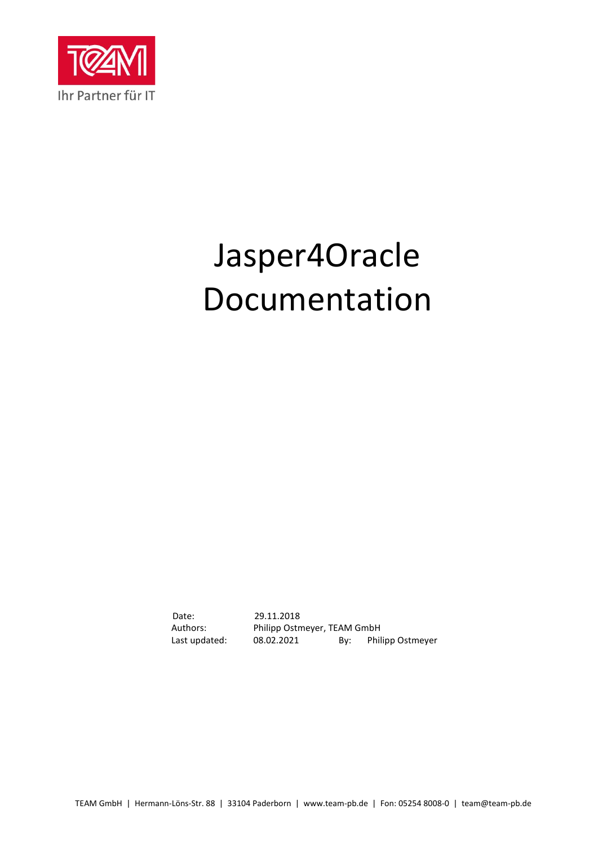

# Jasper4Oracle Documentation

Date: 29.11.2018 Authors: Philipp Ostmeyer, TEAM GmbH<br>Last updated: 08.02.2021 By: Phil 08.02.2021 By: Philipp Ostmeyer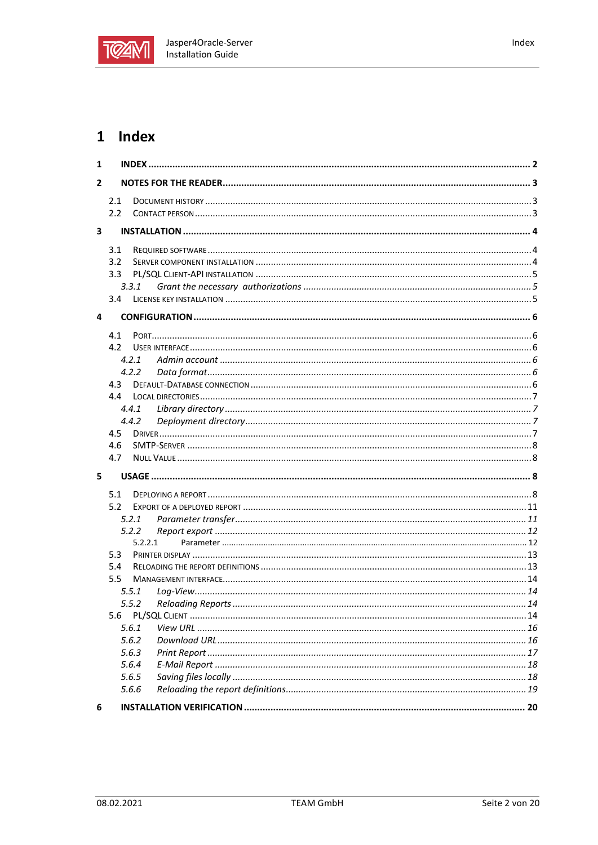

| 1              |                  |         |  |
|----------------|------------------|---------|--|
| $\overline{2}$ |                  |         |  |
|                | 2.1              |         |  |
|                | 2.2              |         |  |
| 3              |                  |         |  |
|                |                  |         |  |
|                | 3.1              |         |  |
|                | 3.2              |         |  |
|                | 3.3 <sub>1</sub> |         |  |
|                |                  | 3.3.1   |  |
|                | $3.4^{\circ}$    |         |  |
| 4              |                  |         |  |
|                | 4.1              |         |  |
|                | 4.2              |         |  |
|                |                  | 4.2.1   |  |
|                |                  | 4.2.2   |  |
|                | 4.3              |         |  |
|                | 4.4              |         |  |
|                |                  | 4.4.1   |  |
|                |                  | 4.4.2   |  |
|                | 4.5              |         |  |
|                | 4.6              |         |  |
|                | 4.7              |         |  |
| 5              |                  |         |  |
|                | 5.1              |         |  |
|                | 5.2              |         |  |
|                |                  | 5.2.1   |  |
|                |                  | 5.2.2   |  |
|                |                  | 5.2.2.1 |  |
|                | 5.3              |         |  |
|                | 5.4              |         |  |
|                | 5.5              |         |  |
|                |                  | 5.5.1   |  |
|                |                  | 5.5.2   |  |
|                | 5.6              |         |  |
|                |                  | 5.6.1   |  |
|                |                  | 5.6.2   |  |
|                |                  | 5.6.3   |  |
|                |                  | 5.6.4   |  |
|                |                  | 5.6.5   |  |
|                |                  | 5.6.6   |  |
| 6              |                  |         |  |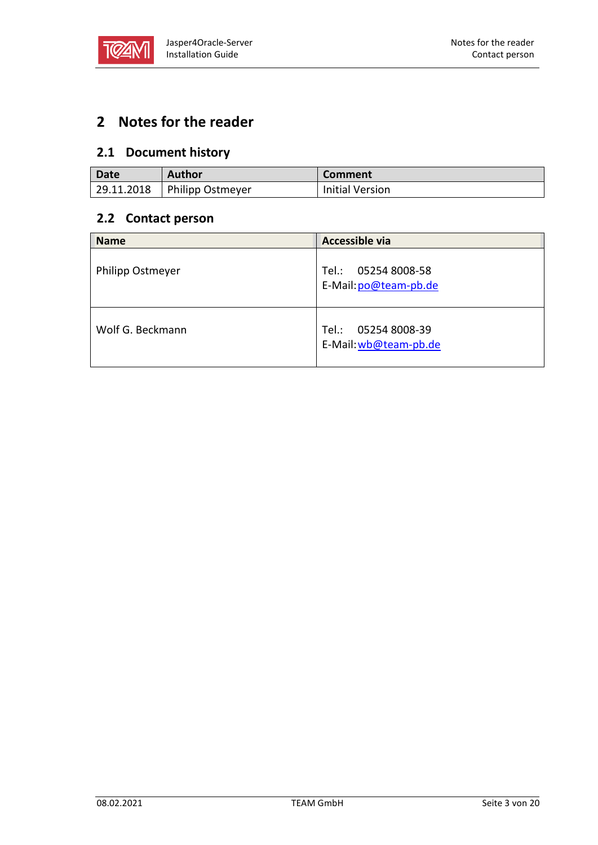

# **2 Notes for the reader**

# **2.1 Document history**

| Date        | <b>Author</b>    | Comment                |
|-------------|------------------|------------------------|
| 129.11.2018 | Philipp Ostmeyer | <b>Initial Version</b> |

## **2.2 Contact person**

| <b>Name</b>      | Accessible via                                  |
|------------------|-------------------------------------------------|
| Philipp Ostmeyer | 05254 8008-58<br>Tel.:<br>E-Mail: po@team-pb.de |
| Wolf G. Beckmann | 05254 8008-39<br>Tel.:<br>E-Mail: wb@team-pb.de |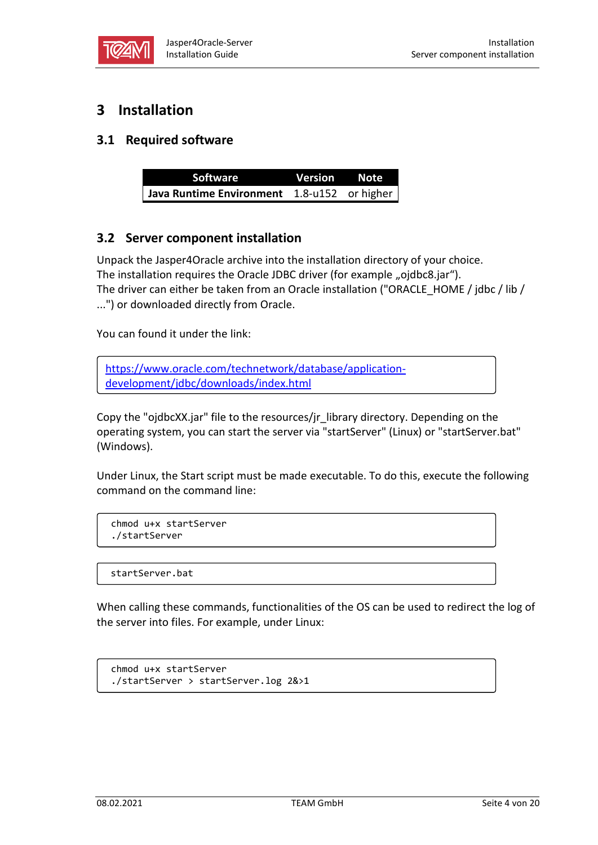

# **3 Installation**

## **3.1 Required software**

| Software                                    | Version Note |  |
|---------------------------------------------|--------------|--|
| Java Runtime Environment 1.8-u152 or higher |              |  |

## **3.2 Server component installation**

Unpack the Jasper4Oracle archive into the installation directory of your choice. The installation requires the Oracle JDBC driver (for example "ojdbc8.jar"). The driver can either be taken from an Oracle installation ("ORACLE\_HOME / jdbc / lib / ...") or downloaded directly from Oracle.

You can found it under the link:

[https://www.oracle.com/technetwork/database/application](https://www.oracle.com/technetwork/database/application-development/jdbc/downloads/index.html)[development/jdbc/downloads/index.html](https://www.oracle.com/technetwork/database/application-development/jdbc/downloads/index.html)

Copy the "ojdbcXX.jar" file to the resources/jr\_library directory. Depending on the operating system, you can start the server via "startServer" (Linux) or "startServer.bat" (Windows).

Under Linux, the Start script must be made executable. To do this, execute the following command on the command line:

chmod u+x startServer ./startServer

startServer.bat

When calling these commands, functionalities of the OS can be used to redirect the log of the server into files. For example, under Linux:

```
chmod u+x startServer
./startServer > startServer.log 2&>1
```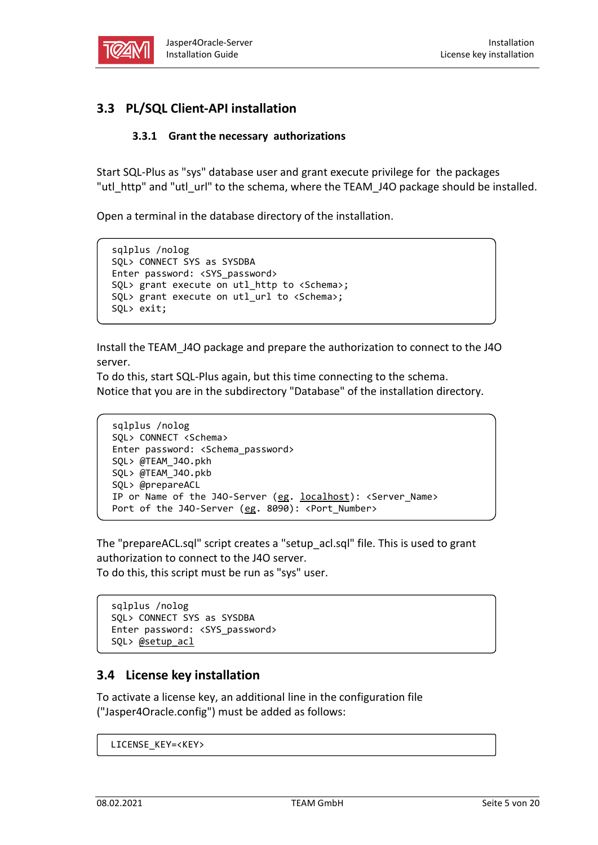

## <span id="page-4-0"></span>**3.3 PL/SQL Client-API installation**

#### **3.3.1 Grant the necessary authorizations**

Start SQL-Plus as "sys" database user and grant execute privilege for the packages "utl\_http" and "utl\_url" to the schema, where the TEAM\_J4O package should be installed.

Open a terminal in the database directory of the installation.

```
sqlplus /nolog
SQL> CONNECT SYS as SYSDBA
Enter password: <SYS password>
SQL> grant execute on utl_http to <Schema>;
SQL> grant execute on utl_url to <Schema>;
SQL> exit;
```
Install the TEAM\_J4O package and prepare the authorization to connect to the J4O server.

To do this, start SQL-Plus again, but this time connecting to the schema. Notice that you are in the subdirectory "Database" of the installation directory.

```
sqlplus /nolog
SQL> CONNECT <Schema>
Enter password: <Schema_password>
SQL> @TEAM_J4O.pkh
SQL> @TEAM_J4O.pkb
SQL> @prepareACL
IP or Name of the J40-Server (eg. localhost): <Server_Name>
Port of the J40-Server (eg. 8090): <Port_Number>
```
The "prepareACL.sql" script creates a "setup\_acl.sql" file. This is used to grant authorization to connect to the J4O server. To do this, this script must be run as "sys" user.

```
sqlplus /nolog
SQL> CONNECT SYS as SYSDBA
Enter password: <SYS_password>
SQL> @setup_acl
```
## **3.4 License key installation**

To activate a license key, an additional line in the configuration file ("Jasper4Oracle.config") must be added as follows:

```
LICENSE_KEY=<KEY>
```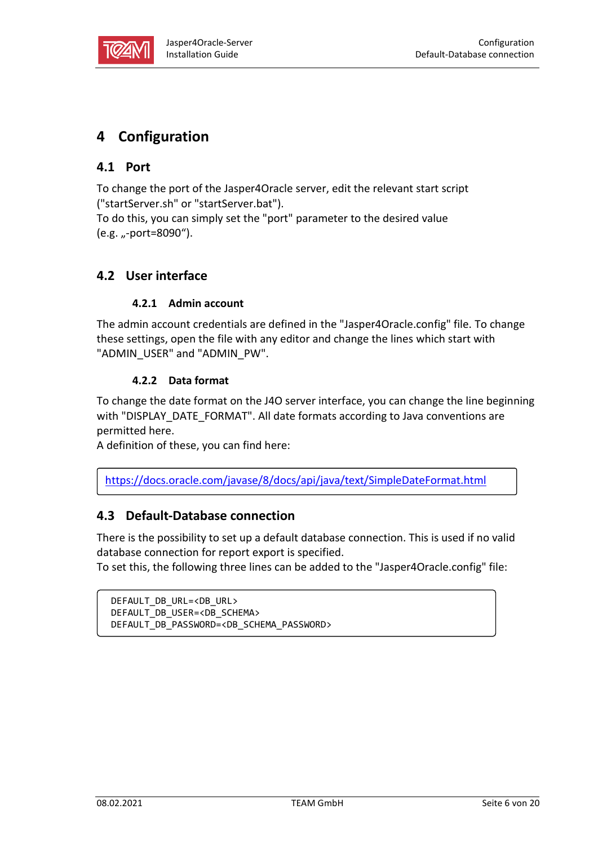

# **4 Configuration**

## **4.1 Port**

To change the port of the Jasper4Oracle server, edit the relevant start script ("startServer.sh" or "startServer.bat").

To do this, you can simply set the "port" parameter to the desired value (e.g. "-port=8090").

## <span id="page-5-0"></span>**4.2 User interface**

#### **4.2.1 Admin account**

The admin account credentials are defined in the "Jasper4Oracle.config" file. To change these settings, open the file with any editor and change the lines which start with "ADMIN\_USER" and "ADMIN\_PW".

#### **4.2.2 Data format**

To change the date format on the J4O server interface, you can change the line beginning with "DISPLAY\_DATE\_FORMAT". All date formats according to Java conventions are permitted here.

A definition of these, you can find here:

<https://docs.oracle.com/javase/8/docs/api/java/text/SimpleDateFormat.html>

## **4.3 Default-Database connection**

There is the possibility to set up a default database connection. This is used if no valid database connection for report export is specified.

To set this, the following three lines can be added to the "Jasper4Oracle.config" file:

```
DEFAULT_DB_URL=<DB_URL>
DEFAULT_DB_USER=<DB_SCHEMA>
DEFAULT_DB_PASSWORD=<DB_SCHEMA_PASSWORD>
```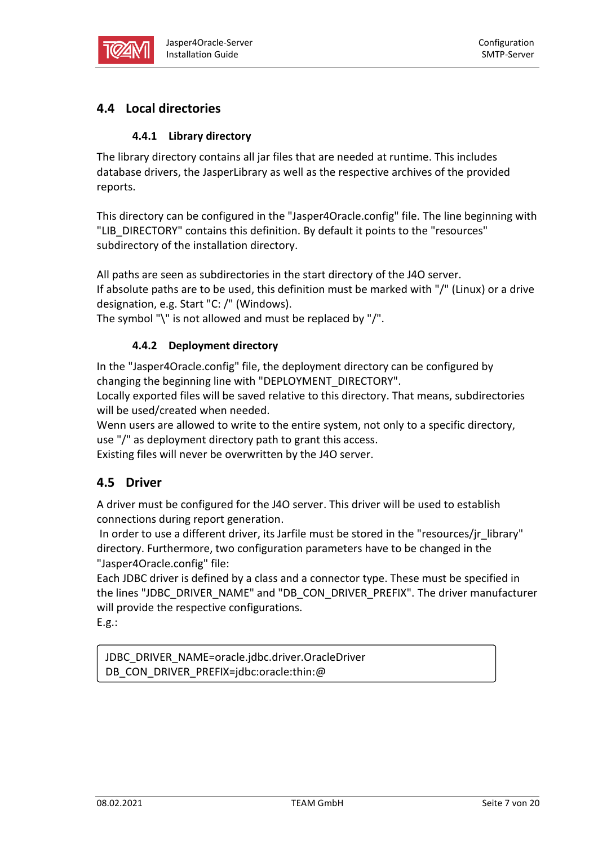

## **4.4 Local directories**

#### **4.4.1 Library directory**

The library directory contains all jar files that are needed at runtime. This includes database drivers, the JasperLibrary as well as the respective archives of the provided reports.

This directory can be configured in the "Jasper4Oracle.config" file. The line beginning with "LIB\_DIRECTORY" contains this definition. By default it points to the "resources" subdirectory of the installation directory.

All paths are seen as subdirectories in the start directory of the J4O server. If absolute paths are to be used, this definition must be marked with "/" (Linux) or a drive

designation, e.g. Start "C: /" (Windows).

<span id="page-6-0"></span>The symbol "\" is not allowed and must be replaced by "/".

#### **4.4.2 Deployment directory**

In the "Jasper4Oracle.config" file, the deployment directory can be configured by changing the beginning line with "DEPLOYMENT\_DIRECTORY".

Locally exported files will be saved relative to this directory. That means, subdirectories will be used/created when needed.

Wenn users are allowed to write to the entire system, not only to a specific directory, use "/" as deployment directory path to grant this access.

Existing files will never be overwritten by the J4O server.

## **4.5 Driver**

A driver must be configured for the J4O server. This driver will be used to establish connections during report generation.

In order to use a different driver, its Jarfile must be stored in the "resources/jr\_library" directory. Furthermore, two configuration parameters have to be changed in the "Jasper4Oracle.config" file:

Each JDBC driver is defined by a class and a connector type. These must be specified in the lines "JDBC\_DRIVER\_NAME" and "DB\_CON\_DRIVER\_PREFIX". The driver manufacturer will provide the respective configurations.

E.g.:

JDBC\_DRIVER\_NAME=oracle.jdbc.driver.OracleDriver DB\_CON\_DRIVER\_PREFIX=jdbc:oracle:thin:@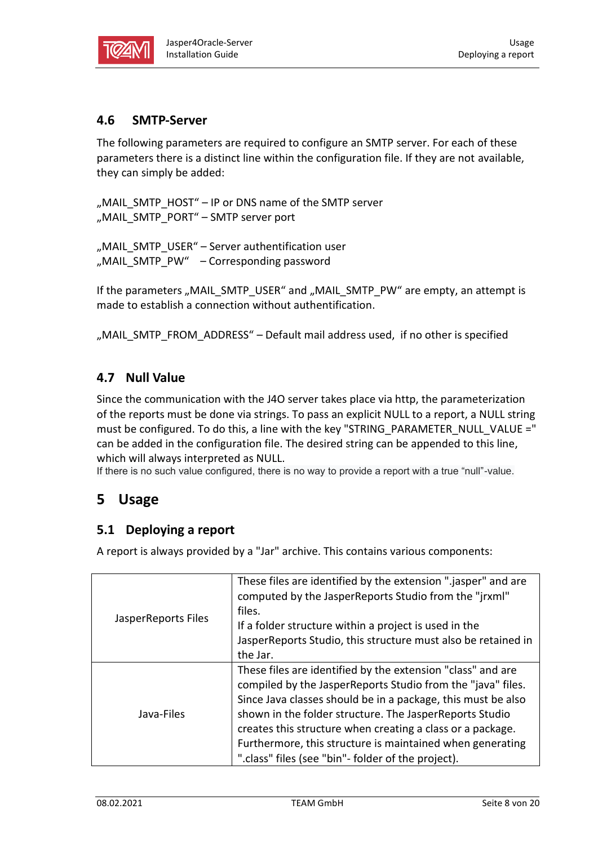

## <span id="page-7-0"></span>**4.6 SMTP-Server**

The following parameters are required to configure an SMTP server. For each of these parameters there is a distinct line within the configuration file. If they are not available, they can simply be added:

```
"MAIL_SMTP_HOST" – IP or DNS name of the SMTP server
"MAIL_SMTP_PORT" – SMTP server port
```

```
"MAIL_SMTP_USER" - Server authentification user
"MAIL_SMTP_PW" – Corresponding password
```
If the parameters "MAIL\_SMTP\_USER" and "MAIL\_SMTP\_PW" are empty, an attempt is made to establish a connection without authentification.

"MAIL\_SMTP\_FROM\_ADDRESS" – Default mail address used, if no other is specified

#### **4.7 Null Value**

Since the communication with the J4O server takes place via http, the parameterization of the reports must be done via strings. To pass an explicit NULL to a report, a NULL string must be configured. To do this, a line with the key "STRING\_PARAMETER\_NULL\_VALUE =" can be added in the configuration file. The desired string can be appended to this line, which will always interpreted as NULL.

If there is no such value configured, there is no way to provide a report with a true "null"-value.

## **5 Usage**

## **5.1 Deploying a report**

A report is always provided by a "Jar" archive. This contains various components:

| JasperReports Files | These files are identified by the extension ".jasper" and are<br>computed by the JasperReports Studio from the "jrxml"<br>files.<br>If a folder structure within a project is used in the<br>JasperReports Studio, this structure must also be retained in<br>the Jar.                                                                                                                                                                 |
|---------------------|----------------------------------------------------------------------------------------------------------------------------------------------------------------------------------------------------------------------------------------------------------------------------------------------------------------------------------------------------------------------------------------------------------------------------------------|
| Java-Files          | These files are identified by the extension "class" and are<br>compiled by the JasperReports Studio from the "java" files.<br>Since Java classes should be in a package, this must be also<br>shown in the folder structure. The JasperReports Studio<br>creates this structure when creating a class or a package.<br>Furthermore, this structure is maintained when generating<br>".class" files (see "bin"- folder of the project). |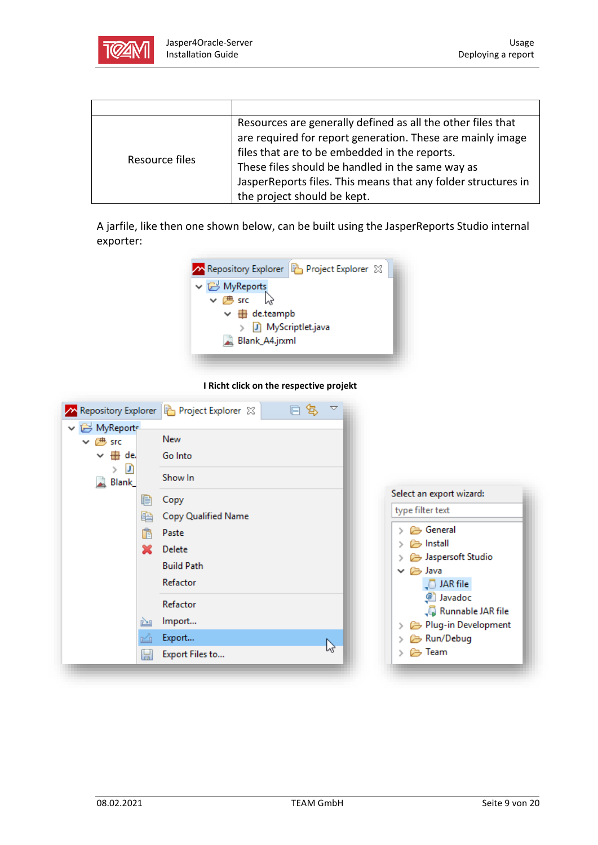

|                | Resources are generally defined as all the other files that   |
|----------------|---------------------------------------------------------------|
|                | are required for report generation. These are mainly image    |
|                | files that are to be embedded in the reports.                 |
| Resource files | These files should be handled in the same way as              |
|                | JasperReports files. This means that any folder structures in |
|                | the project should be kept.                                   |

A jarfile, like then one shown below, can be built using the JasperReports Studio internal exporter:



**I Richt click on the respective projekt**

| ↓ B MyReport                                               | 口 包<br>Repository Explorer <b>P</b> Project Explorer X<br>ᢦ                     |                                                                                                                                                                                       |
|------------------------------------------------------------|---------------------------------------------------------------------------------|---------------------------------------------------------------------------------------------------------------------------------------------------------------------------------------|
| ∨ 然 src<br>▽ <del>山</del><br>de.<br>D<br>><br>Blank_<br>لم | New<br>Go Into<br>Show In                                                       |                                                                                                                                                                                       |
| 睊<br>睁<br>r<br>x                                           | Copy<br>Copy Qualified Name<br>Paste<br>Delete<br><b>Build Path</b><br>Refactor | Select an export wizard:<br>type filter text<br><b><sup>→</sup></b> General<br>histall<br>↘<br>Jaspersoft Studio<br>∨ <i>(</i> a) Java<br>$\sqrt{5}$ JAR file<br><sup>2</sup> Javadoc |
| 凸<br>H                                                     | Refactor<br>Import<br>Export<br>$v_2$<br>Export Files to                        | √ Runnable JAR file<br>Plug-in Development<br><b>B</b> Run/Debug<br>⊘ Team<br>↘                                                                                                       |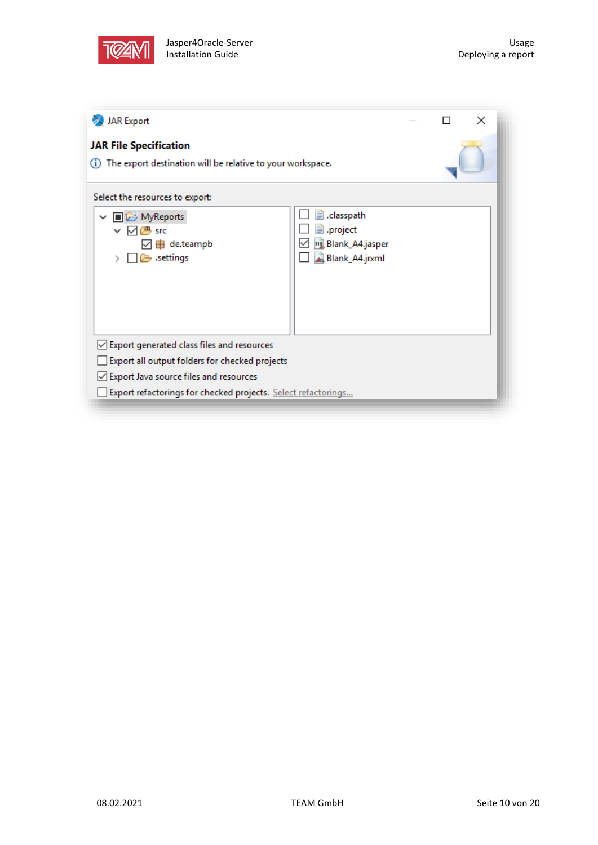

| The export destination will be relative to your workspace.<br>G)<br>Select the resources to export:<br>elasspath.<br>■B MyReports<br>$\checkmark$<br>■ .project<br>一<br>⋈<br><b>SFC</b><br>110 Blank_A4.jasper<br>de.teampb<br>89<br>Blank_A4.jrxml<br>settings<br>○ Export generated class files and resources<br>Export all output folders for checked projects<br>○ Export Java source files and resources<br>Export refactorings for checked projects. Select refactorings | <b>JAR</b> Export             |  |  |  | $\times$ |
|--------------------------------------------------------------------------------------------------------------------------------------------------------------------------------------------------------------------------------------------------------------------------------------------------------------------------------------------------------------------------------------------------------------------------------------------------------------------------------|-------------------------------|--|--|--|----------|
|                                                                                                                                                                                                                                                                                                                                                                                                                                                                                | <b>JAR File Specification</b> |  |  |  |          |
|                                                                                                                                                                                                                                                                                                                                                                                                                                                                                |                               |  |  |  |          |
|                                                                                                                                                                                                                                                                                                                                                                                                                                                                                |                               |  |  |  |          |
|                                                                                                                                                                                                                                                                                                                                                                                                                                                                                |                               |  |  |  |          |
|                                                                                                                                                                                                                                                                                                                                                                                                                                                                                |                               |  |  |  |          |
|                                                                                                                                                                                                                                                                                                                                                                                                                                                                                |                               |  |  |  |          |
|                                                                                                                                                                                                                                                                                                                                                                                                                                                                                |                               |  |  |  |          |
|                                                                                                                                                                                                                                                                                                                                                                                                                                                                                |                               |  |  |  |          |
|                                                                                                                                                                                                                                                                                                                                                                                                                                                                                |                               |  |  |  |          |
|                                                                                                                                                                                                                                                                                                                                                                                                                                                                                |                               |  |  |  |          |
|                                                                                                                                                                                                                                                                                                                                                                                                                                                                                |                               |  |  |  |          |
|                                                                                                                                                                                                                                                                                                                                                                                                                                                                                |                               |  |  |  |          |
|                                                                                                                                                                                                                                                                                                                                                                                                                                                                                |                               |  |  |  |          |
|                                                                                                                                                                                                                                                                                                                                                                                                                                                                                |                               |  |  |  |          |
|                                                                                                                                                                                                                                                                                                                                                                                                                                                                                |                               |  |  |  |          |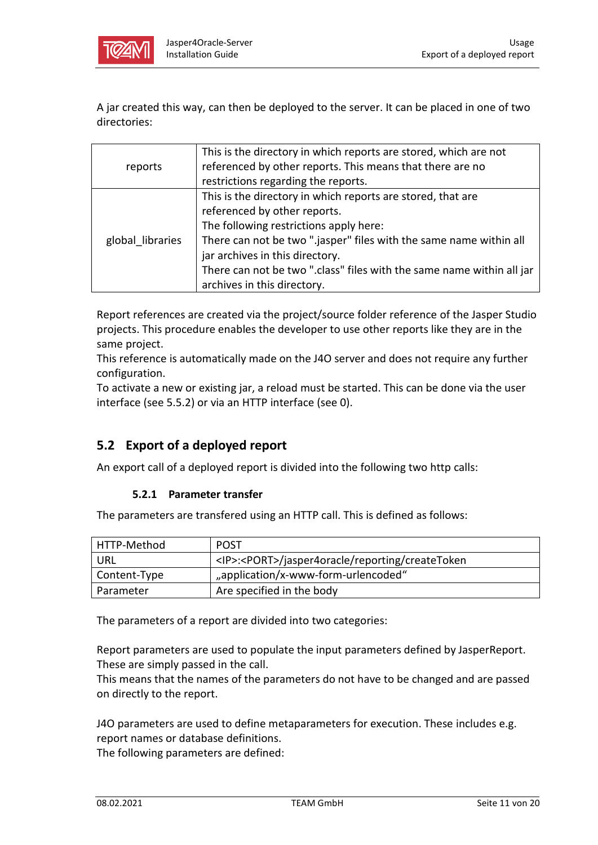

A jar created this way, can then be deployed to the server. It can be placed in one of two directories:

|                  | This is the directory in which reports are stored, which are not      |
|------------------|-----------------------------------------------------------------------|
| reports          | referenced by other reports. This means that there are no             |
|                  | restrictions regarding the reports.                                   |
|                  | This is the directory in which reports are stored, that are           |
|                  | referenced by other reports.                                          |
|                  | The following restrictions apply here:                                |
| global libraries | There can not be two ".jasper" files with the same name within all    |
|                  | jar archives in this directory.                                       |
|                  | There can not be two ".class" files with the same name within all jar |
|                  | archives in this directory.                                           |

Report references are created via the project/source folder reference of the Jasper Studio projects. This procedure enables the developer to use other reports like they are in the same project.

This reference is automatically made on the J4O server and does not require any further configuration.

To activate a new or existing jar, a reload must be started. This can be done via the user interface (see [5.5.2\)](#page-13-0) or via an HTTP interface (see [0\)](#page-12-0).

## **5.2 Export of a deployed report**

An export call of a deployed report is divided into the following two http calls:

#### **5.2.1 Parameter transfer**

The parameters are transfered using an HTTP call. This is defined as follows:

| HTTP-Method  | <b>POST</b>                                                 |
|--------------|-------------------------------------------------------------|
| URL          | <ip>:<port>/jasper4oracle/reporting/createToken</port></ip> |
| Content-Type | "application/x-www-form-urlencoded"                         |
| Parameter    | Are specified in the body                                   |

The parameters of a report are divided into two categories:

Report parameters are used to populate the input parameters defined by JasperReport. These are simply passed in the call.

This means that the names of the parameters do not have to be changed and are passed on directly to the report.

J4O parameters are used to define metaparameters for execution. These includes e.g. report names or database definitions.

The following parameters are defined: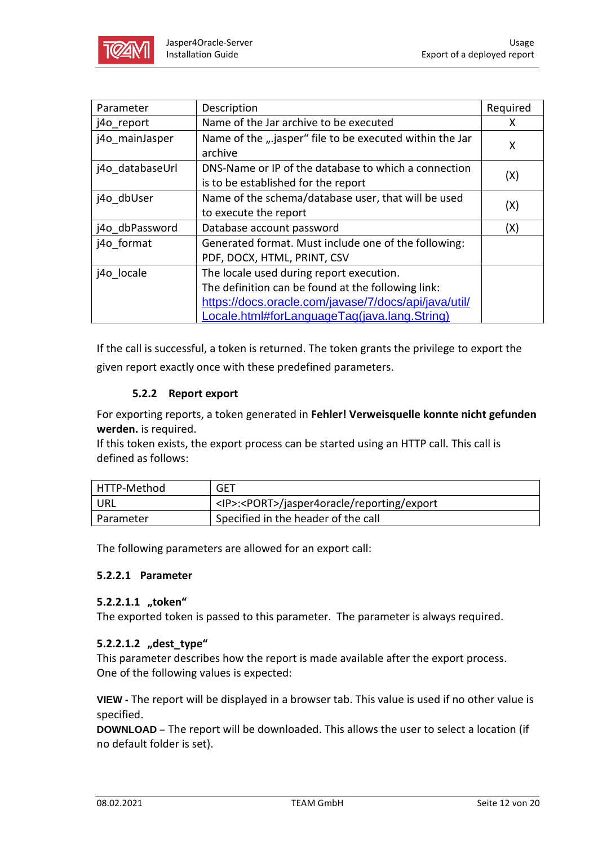

| Parameter       | Description                                              | Required |
|-----------------|----------------------------------------------------------|----------|
| j4o report      | Name of the Jar archive to be executed                   | x        |
| j4o mainJasper  | Name of the ".jasper" file to be executed within the Jar | X        |
|                 | archive                                                  |          |
| j4o databaseUrl | DNS-Name or IP of the database to which a connection     |          |
|                 | is to be established for the report                      | (X)      |
| j4o dbUser      | Name of the schema/database user, that will be used      |          |
|                 | to execute the report                                    | (X)      |
| j4o dbPassword  | Database account password                                | (X)      |
| j4o format      | Generated format. Must include one of the following:     |          |
|                 | PDF, DOCX, HTML, PRINT, CSV                              |          |
| j4o locale      | The locale used during report execution.                 |          |
|                 | The definition can be found at the following link:       |          |
|                 | https://docs.oracle.com/javase/7/docs/api/java/util/     |          |
|                 | Locale.html#forLanguageTag(java.lang.String)             |          |

If the call is successful, a token is returned. The token grants the privilege to export the given report exactly once with these predefined parameters.

#### **5.2.2 Report export**

For exporting reports, a token generated in **Fehler! Verweisquelle konnte nicht gefunden werden.** is required.

If this token exists, the export process can be started using an HTTP call. This call is defined as follows:

| HTTP-Method | GET                                                    |
|-------------|--------------------------------------------------------|
| URL         | <ip>:<port>/jasper4oracle/reporting/export</port></ip> |
| Parameter   | Specified in the header of the call                    |

The following parameters are allowed for an export call:

#### **5.2.2.1 Parameter**

#### **5.2.2.1.1 "token"**

The exported token is passed to this parameter. The parameter is always required.

#### 5.2.2.1.2 "dest type"

This parameter describes how the report is made available after the export process. One of the following values is expected:

**VIEW -** The report will be displayed in a browser tab. This value is used if no other value is specified.

**DOWNLOAD** – The report will be downloaded. This allows the user to select a location (if no default folder is set).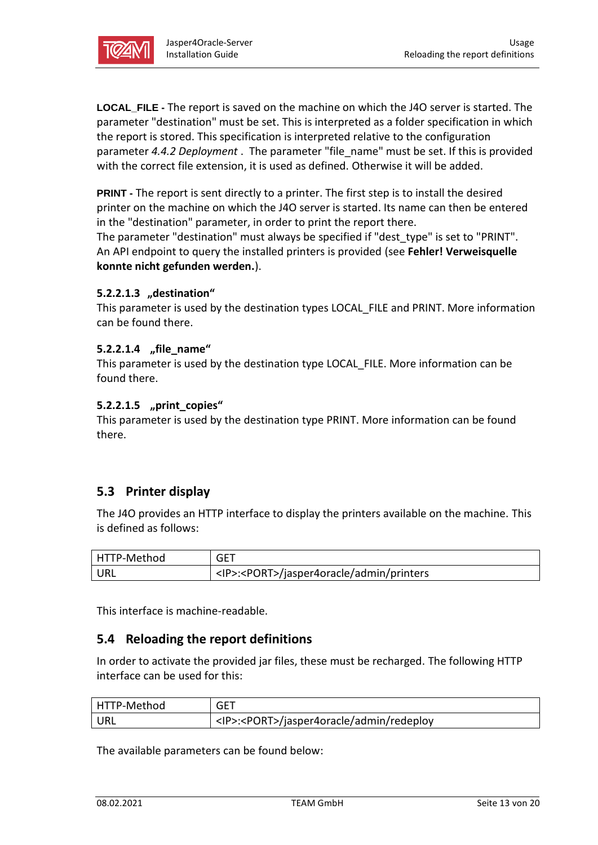

<span id="page-12-1"></span>**LOCAL\_FILE -** The report is saved on the machine on which the J4O server is started. The parameter "destination" must be set. This is interpreted as a folder specification in which the report is stored. This specification is interpreted relative to the configuration parameter *[4.4.2](#page-6-0) [Deployment](#page-6-0)* . The parameter "file\_name" must be set. If this is provided with the correct file extension, it is used as defined. Otherwise it will be added.

<span id="page-12-2"></span>**PRINT -** The report is sent directly to a printer. The first step is to install the desired printer on the machine on which the J4O server is started. Its name can then be entered in the "destination" parameter, in order to print the report there.

The parameter "destination" must always be specified if "dest\_type" is set to "PRINT". An API endpoint to query the installed printers is provided (see **Fehler! Verweisquelle konnte nicht gefunden werden.**).

#### **5.2.2.1.3** "destination"

This parameter is used by the destination types [LOCAL\\_FILE](#page-12-1) and [PRINT.](#page-12-2) More information can be found there.

#### **5.2.2.1.4 "file\_name"**

This parameter is used by the destination type LOCAL FILE. More information can be found there.

#### **5.2.2.1.5 "print\_copies"**

This parameter is used by the destination type [PRINT.](#page-12-2) More information can be found there.

## **5.3 Printer display**

The J4O provides an HTTP interface to display the printers available on the machine. This is defined as follows:

| HTTP-Method | <b>GET</b>                                           |
|-------------|------------------------------------------------------|
| URL         | <ip>:<port>/jasper4oracle/admin/printers</port></ip> |

<span id="page-12-0"></span>This interface is machine-readable.

#### **5.4 Reloading the report definitions**

In order to activate the provided jar files, these must be recharged. The following HTTP interface can be used for this:

| HTTP-Method | GET                                                  |
|-------------|------------------------------------------------------|
| URL         | <ip>:<port>/jasper4oracle/admin/redeploy</port></ip> |

The available parameters can be found below: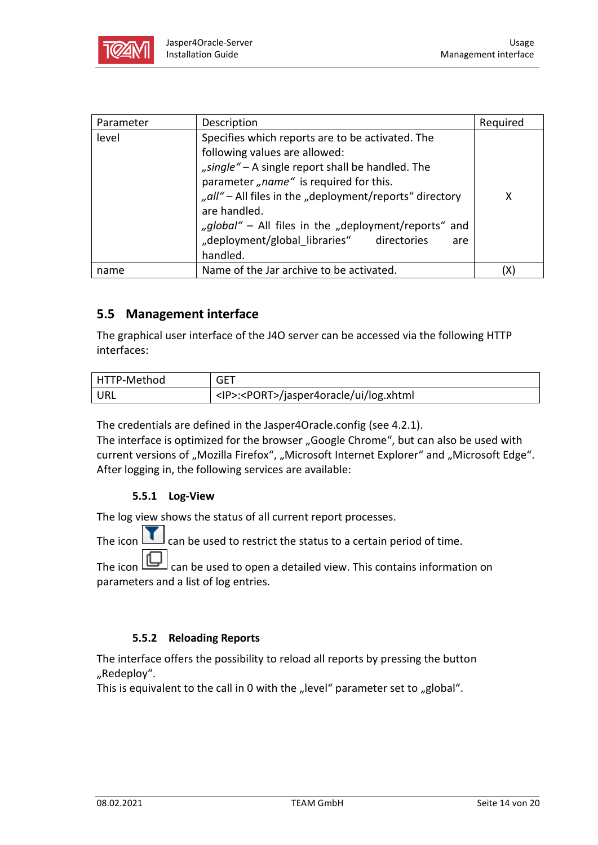

| Parameter | Description                                                                                                                                                                                                                                                                                                                                                                        | Required |
|-----------|------------------------------------------------------------------------------------------------------------------------------------------------------------------------------------------------------------------------------------------------------------------------------------------------------------------------------------------------------------------------------------|----------|
| level     | Specifies which reports are to be activated. The<br>following values are allowed:<br>"single" – A single report shall be handled. The<br>parameter, name" is required for this.<br>"all" - All files in the "deployment/reports" directory<br>are handled.<br>"global" - All files in the "deployment/reports" and<br>"deployment/global libraries" directories<br>are<br>handled. | x        |
| name      | Name of the Jar archive to be activated.                                                                                                                                                                                                                                                                                                                                           |          |

## **5.5 Management interface**

The graphical user interface of the J4O server can be accessed via the following HTTP interfaces:

| HTTP-Method | <b>GET</b>                                         |
|-------------|----------------------------------------------------|
| URL         | <ip>:<port>/jasper4oracle/ui/log.xhtml</port></ip> |

The credentials are defined in the Jasper4Oracle.config (see [4.2.1\)](#page-5-0).

The interface is optimized for the browser "Google Chrome", but can also be used with current versions of "Mozilla Firefox", "Microsoft Internet Explorer" and "Microsoft Edge". After logging in, the following services are available:

#### **5.5.1 Log-View**

The log view shows the status of all current report processes.

The icon  $\Box$  can be used to restrict the status to a certain period of time.

The icon  $\boxed{b}$  can be used to open a detailed view. This contains information on parameters and a list of log entries.

#### **5.5.2 Reloading Reports**

<span id="page-13-0"></span>The interface offers the possibility to reload all reports by pressing the button "Redeploy".

This is equivalent to the call in [0](#page-12-0) with the "level" parameter set to "global".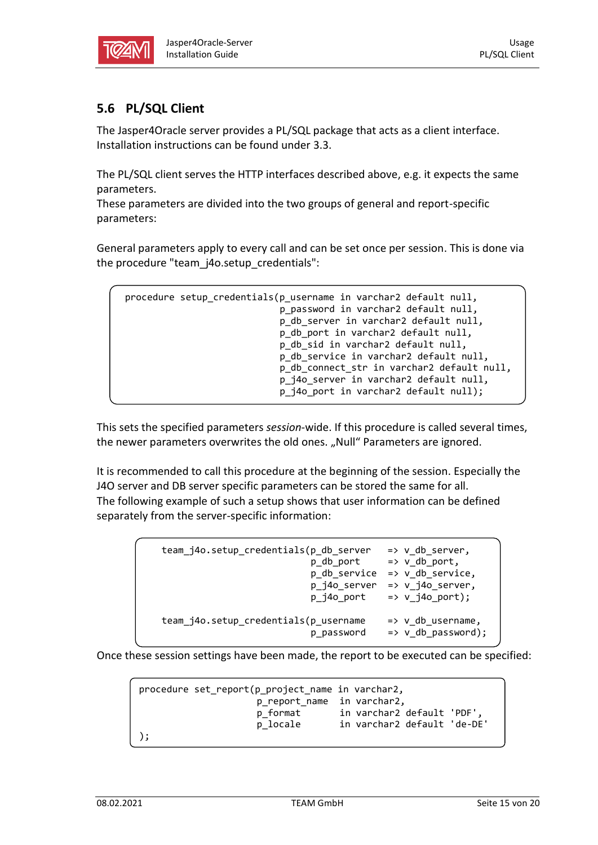

## <span id="page-14-0"></span>**5.6 PL/SQL Client**

The Jasper4Oracle server provides a PL/SQL package that acts as a client interface. Installation instructions can be found under [3.3.](#page-4-0)

The PL/SQL client serves the HTTP interfaces described above, e.g. it expects the same parameters.

These parameters are divided into the two groups of general and report-specific parameters:

General parameters apply to every call and can be set once per session. This is done via the procedure "team\_j4o.setup\_credentials":

```
procedure setup_credentials(p_username in varchar2 default null,
                            p password in varchar2 default null,
                            p_db_server in varchar2 default null,
                             p_db_port in varchar2 default null,
                             p_db_sid in varchar2 default null,
                            p_db_service in varchar2 default null,
                            p db connect str in varchar2 default null,
                            p_j4o_server in varchar2 default null,
                            p_j4o_port in varchar2 default null);
```
This sets the specified parameters *session*-wide. If this procedure is called several times, the newer parameters overwrites the old ones. "Null" Parameters are ignored.

It is recommended to call this procedure at the beginning of the session. Especially the J4O server and DB server specific parameters can be stored the same for all. The following example of such a setup shows that user information can be defined separately from the server-specific information:

| team_j4o.setup_credentials(p_db_server | $\Rightarrow$ v db server,    |
|----------------------------------------|-------------------------------|
| p_db_port                              | $\Rightarrow$ v db port,      |
| p_db_service                           | $\Rightarrow$ v_db_service,   |
| p_j4o_server                           | $\Rightarrow$ v_j4o_server,   |
| p j4o port                             | $\Rightarrow$ v_j4o_port);    |
| team_j4o.setup_credentials(p_username  | $\Rightarrow$ v_db_username,  |
| p password                             | $\Rightarrow$ v_db_password); |

Once these session settings have been made, the report to be executed can be specified:

procedure set report(p project name in varchar2, p\_report\_name in varchar2, p\_format in varchar2 default 'PDF', p\_locale in varchar2 default 'de-DE' );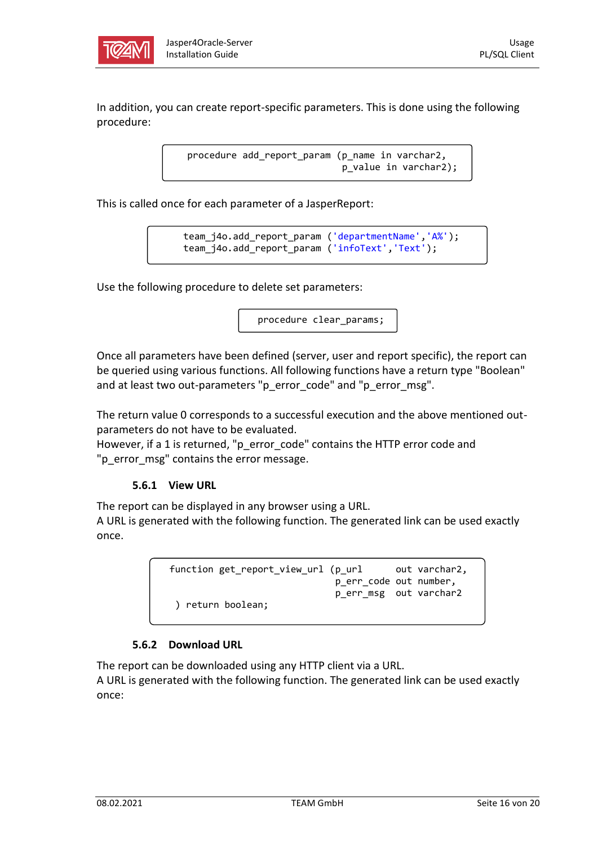

In addition, you can create report-specific parameters. This is done using the following procedure:

> procedure add\_report\_param (p\_name in varchar2, p\_value in varchar2);

This is called once for each parameter of a JasperReport:

team j4o.add report param ('departmentName','A%'); team\_j4o.add\_report\_param ('infoText','Text');

Use the following procedure to delete set parameters:

procedure clear\_params;

Once all parameters have been defined (server, user and report specific), the report can be queried using various functions. All following functions have a return type "Boolean" and at least two out-parameters "p\_error\_code" and "p\_error\_msg".

The return value 0 corresponds to a successful execution and the above mentioned outparameters do not have to be evaluated.

However, if a 1 is returned, "p\_error\_code" contains the HTTP error code and "p\_error\_msg" contains the error message.

#### **5.6.1 View URL**

 $\overline{a}$ 

The report can be displayed in any browser using a URL.

A URL is generated with the following function. The generated link can be used exactly once.

function get\_report\_view\_url (p\_url out varchar2, p\_err\_code out number, p\_err\_msg out varchar2 ) return boolean;

#### **5.6.2 Download URL**

The report can be downloaded using any HTTP client via a URL.

A URL is generated with the following function. The generated link can be used exactly once: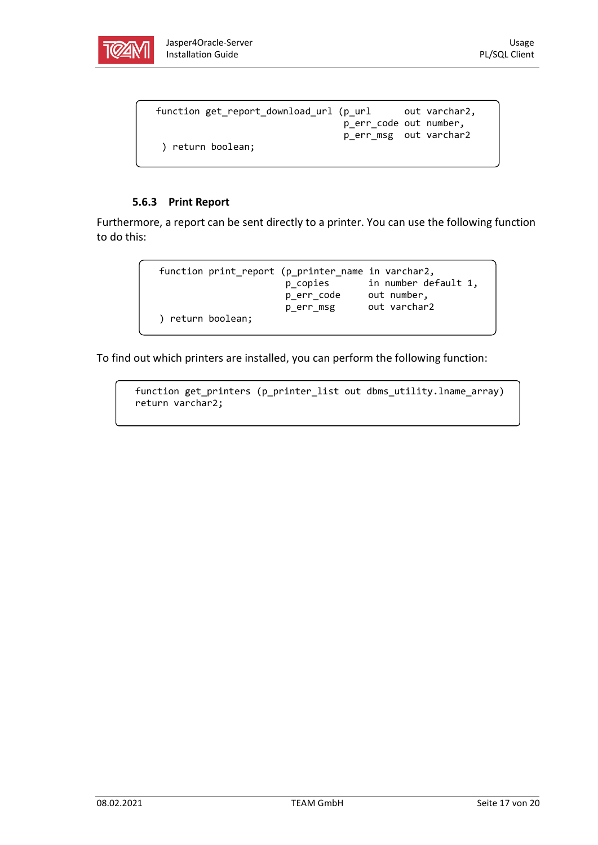

```
function get_report_download_url (p_url out varchar2,
                                  p_err_code out number,
                                  p_err_msg out varchar2
  ) return boolean;
```
#### **5.6.3 Print Report**

Furthermore, a report can be sent directly to a printer. You can use the following function to do this:

| function print_report (p_printer_name in varchar2, |            |                      |
|----------------------------------------------------|------------|----------------------|
|                                                    | p_copies   | in number default 1, |
|                                                    | p_err_code | out number,          |
|                                                    | p err msg  | out varchar2         |
| ) return boolean;                                  |            |                      |
|                                                    |            |                      |

To find out which printers are installed, you can perform the following function:

```
 function get_printers (p_printer_list out dbms_utility.lname_array) 
 return varchar2;
```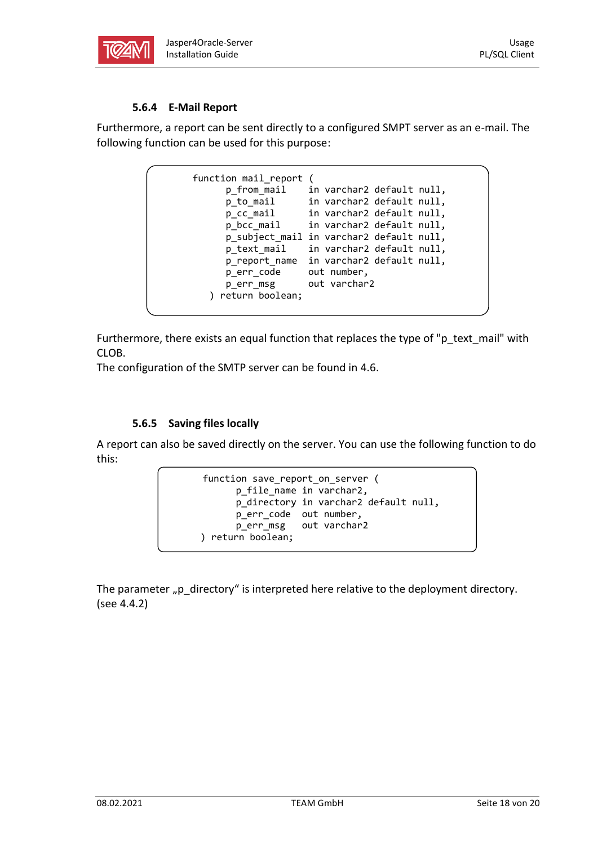

#### **5.6.4 E-Mail Report**

Furthermore, a report can be sent directly to a configured SMPT server as an e-mail. The following function can be used for this purpose:

```
function mail_report (
      p_from_mail in varchar2 default null,
 p_to_mail in varchar2 default null,
 p_cc_mail in varchar2 default null,
 p_bcc_mail in varchar2 default null,
      p_subject_mail in varchar2 default null,
      p_text_mail in varchar2 default null,
     p report name in varchar2 default null,
     p err code out number,
      p_err_msg out varchar2
   ) return boolean;
```
Furthermore, there exists an equal function that replaces the type of "p\_text\_mail" with CLOB.

The configuration of the SMTP server can be found in [4.6.](#page-7-0)

#### **5.6.5 Saving files locally**

A report can also be saved directly on the server. You can use the following function to do this:

```
function save report on server (
       p_file_name in varchar2,
       p_directory in varchar2 default null,
       p_err_code out number,
       p_err_msg out varchar2
 ) return boolean;
```
The parameter "p\_directory" is interpreted here relative to the deployment directory. (see [4.4.2\)](#page-6-0)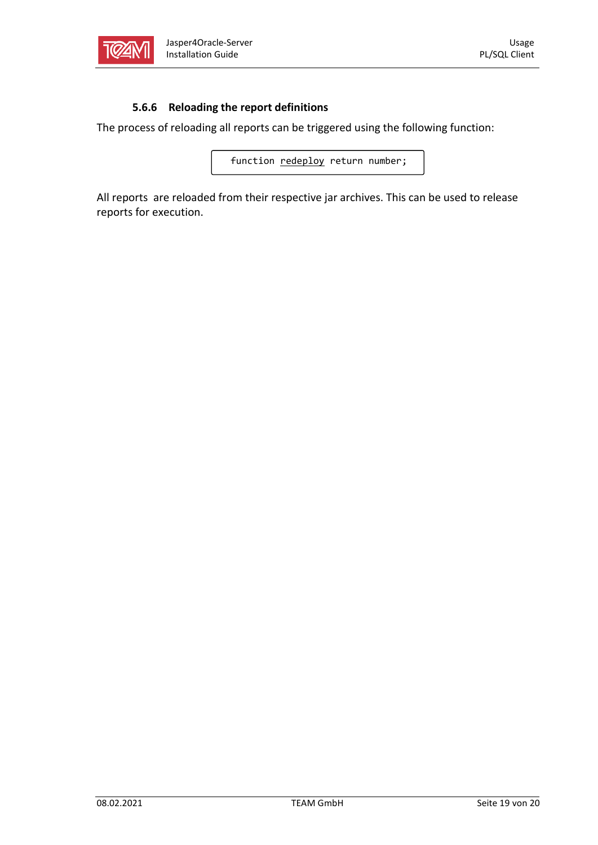

#### **5.6.6 Reloading the report definitions**

The process of reloading all reports can be triggered using the following function:

function redeploy return number;

All reports are reloaded from their respective jar archives. This can be used to release reports for execution.